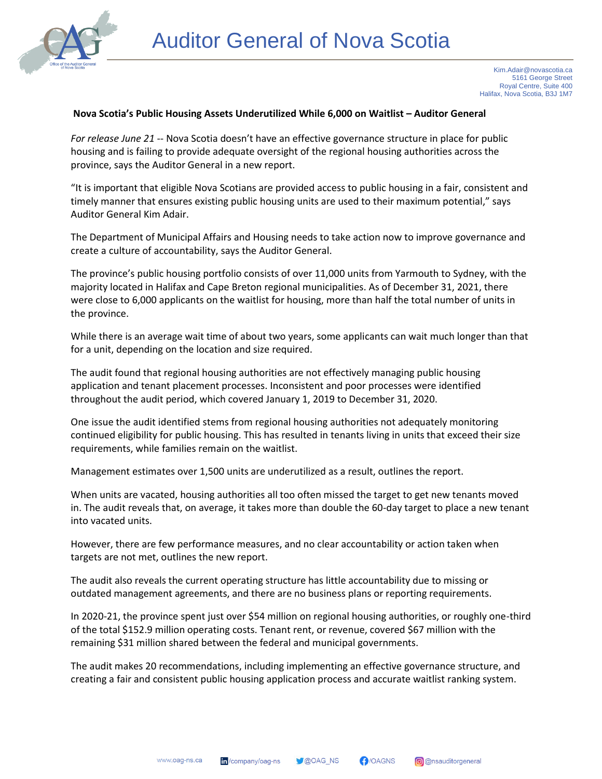

## **Nova Scotia's Public Housing Assets Underutilized While 6,000 on Waitlist – Auditor General**

*For release June 21* -- Nova Scotia doesn't have an effective governance structure in place for public housing and is failing to provide adequate oversight of the regional housing authorities across the province, says the Auditor General in a new report.

"It is important that eligible Nova Scotians are provided access to public housing in a fair, consistent and timely manner that ensures existing public housing units are used to their maximum potential," says Auditor General Kim Adair.

The Department of Municipal Affairs and Housing needs to take action now to improve governance and create a culture of accountability, says the Auditor General.

The province's public housing portfolio consists of over 11,000 units from Yarmouth to Sydney, with the majority located in Halifax and Cape Breton regional municipalities. As of December 31, 2021, there were close to 6,000 applicants on the waitlist for housing, more than half the total number of units in the province.

While there is an average wait time of about two years, some applicants can wait much longer than that for a unit, depending on the location and size required.

The audit found that regional housing authorities are not effectively managing public housing application and tenant placement processes. Inconsistent and poor processes were identified throughout the audit period, which covered January 1, 2019 to December 31, 2020.

One issue the audit identified stems from regional housing authorities not adequately monitoring continued eligibility for public housing. This has resulted in tenants living in units that exceed their size requirements, while families remain on the waitlist.

Management estimates over 1,500 units are underutilized as a result, outlines the report.

When units are vacated, housing authorities all too often missed the target to get new tenants moved in. The audit reveals that, on average, it takes more than double the 60-day target to place a new tenant into vacated units.

However, there are few performance measures, and no clear accountability or action taken when targets are not met, outlines the new report.

The audit also reveals the current operating structure has little accountability due to missing or outdated management agreements, and there are no business plans or reporting requirements.

In 2020-21, the province spent just over \$54 million on regional housing authorities, or roughly one-third of the total \$152.9 million operating costs. Tenant rent, or revenue, covered \$67 million with the remaining \$31 million shared between the federal and municipal governments.

The audit makes 20 recommendations, including implementing an effective governance structure, and creating a fair and consistent public housing application process and accurate waitlist ranking system.